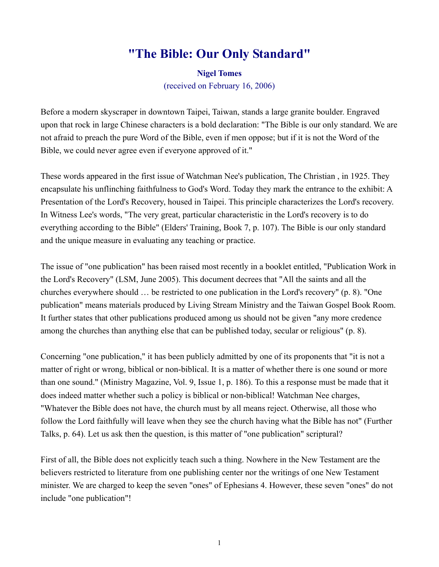## **"The Bible: Our Only Standard"**

## **Nigel Tomes**

(received on February 16, 2006)

Before a modern skyscraper in downtown Taipei, Taiwan, stands a large granite boulder. Engraved upon that rock in large Chinese characters is a bold declaration: "The Bible is our only standard. We are not afraid to preach the pure Word of the Bible, even if men oppose; but if it is not the Word of the Bible, we could never agree even if everyone approved of it."

These words appeared in the first issue of Watchman Nee's publication, The Christian , in 1925. They encapsulate his unflinching faithfulness to God's Word. Today they mark the entrance to the exhibit: A Presentation of the Lord's Recovery, housed in Taipei. This principle characterizes the Lord's recovery. In Witness Lee's words, "The very great, particular characteristic in the Lord's recovery is to do everything according to the Bible" (Elders' Training, Book 7, p. 107). The Bible is our only standard and the unique measure in evaluating any teaching or practice.

The issue of "one publication" has been raised most recently in a booklet entitled, "Publication Work in the Lord's Recovery" (LSM, June 2005). This document decrees that "All the saints and all the churches everywhere should … be restricted to one publication in the Lord's recovery" (p. 8). "One publication" means materials produced by Living Stream Ministry and the Taiwan Gospel Book Room. It further states that other publications produced among us should not be given "any more credence among the churches than anything else that can be published today, secular or religious" (p. 8).

Concerning "one publication," it has been publicly admitted by one of its proponents that "it is not a matter of right or wrong, biblical or non-biblical. It is a matter of whether there is one sound or more than one sound." (Ministry Magazine, Vol. 9, Issue 1, p. 186). To this a response must be made that it does indeed matter whether such a policy is biblical or non-biblical! Watchman Nee charges, "Whatever the Bible does not have, the church must by all means reject. Otherwise, all those who follow the Lord faithfully will leave when they see the church having what the Bible has not" (Further Talks, p. 64). Let us ask then the question, is this matter of "one publication" scriptural?

First of all, the Bible does not explicitly teach such a thing. Nowhere in the New Testament are the believers restricted to literature from one publishing center nor the writings of one New Testament minister. We are charged to keep the seven "ones" of Ephesians 4. However, these seven "ones" do not include "one publication"!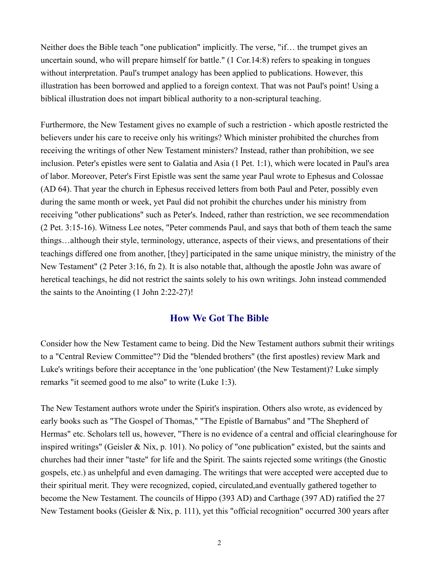Neither does the Bible teach "one publication" implicitly. The verse, "if… the trumpet gives an uncertain sound, who will prepare himself for battle." (1 Cor.14:8) refers to speaking in tongues without interpretation. Paul's trumpet analogy has been applied to publications. However, this illustration has been borrowed and applied to a foreign context. That was not Paul's point! Using a biblical illustration does not impart biblical authority to a non-scriptural teaching.

Furthermore, the New Testament gives no example of such a restriction - which apostle restricted the believers under his care to receive only his writings? Which minister prohibited the churches from receiving the writings of other New Testament ministers? Instead, rather than prohibition, we see inclusion. Peter's epistles were sent to Galatia and Asia (1 Pet. 1:1), which were located in Paul's area of labor. Moreover, Peter's First Epistle was sent the same year Paul wrote to Ephesus and Colossae (AD 64). That year the church in Ephesus received letters from both Paul and Peter, possibly even during the same month or week, yet Paul did not prohibit the churches under his ministry from receiving "other publications" such as Peter's. Indeed, rather than restriction, we see recommendation (2 Pet. 3:15-16). Witness Lee notes, "Peter commends Paul, and says that both of them teach the same things…although their style, terminology, utterance, aspects of their views, and presentations of their teachings differed one from another, [they] participated in the same unique ministry, the ministry of the New Testament" (2 Peter 3:16, fn 2). It is also notable that, although the apostle John was aware of heretical teachings, he did not restrict the saints solely to his own writings. John instead commended the saints to the Anointing (1 John 2:22-27)!

## **How We Got The Bible**

Consider how the New Testament came to being. Did the New Testament authors submit their writings to a "Central Review Committee"? Did the "blended brothers" (the first apostles) review Mark and Luke's writings before their acceptance in the 'one publication' (the New Testament)? Luke simply remarks "it seemed good to me also" to write (Luke 1:3).

The New Testament authors wrote under the Spirit's inspiration. Others also wrote, as evidenced by early books such as "The Gospel of Thomas," "The Epistle of Barnabus" and "The Shepherd of Hermas" etc. Scholars tell us, however, "There is no evidence of a central and official clearinghouse for inspired writings" (Geisler & Nix, p. 101). No policy of "one publication" existed, but the saints and churches had their inner "taste" for life and the Spirit. The saints rejected some writings (the Gnostic gospels, etc.) as unhelpful and even damaging. The writings that were accepted were accepted due to their spiritual merit. They were recognized, copied, circulated,and eventually gathered together to become the New Testament. The councils of Hippo (393 AD) and Carthage (397 AD) ratified the 27 New Testament books (Geisler & Nix, p. 111), yet this "official recognition" occurred 300 years after